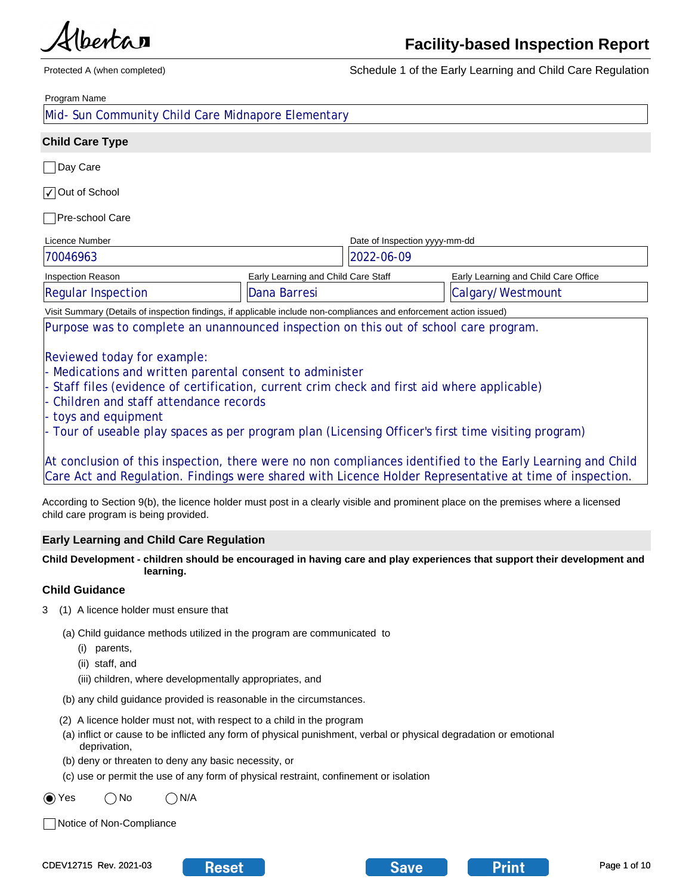Hbertan

Protected A (when completed) **Schedule 1 of the Early Learning and Child Care Regulation** 

| Program Name                                                                                                                                                                                                                                                                                                                                                                                                                                                                                                                                                                                                                                                                                                                      |                                     |                               |                                      |  |
|-----------------------------------------------------------------------------------------------------------------------------------------------------------------------------------------------------------------------------------------------------------------------------------------------------------------------------------------------------------------------------------------------------------------------------------------------------------------------------------------------------------------------------------------------------------------------------------------------------------------------------------------------------------------------------------------------------------------------------------|-------------------------------------|-------------------------------|--------------------------------------|--|
| Mid- Sun Community Child Care Midnapore Elementary                                                                                                                                                                                                                                                                                                                                                                                                                                                                                                                                                                                                                                                                                |                                     |                               |                                      |  |
| <b>Child Care Type</b>                                                                                                                                                                                                                                                                                                                                                                                                                                                                                                                                                                                                                                                                                                            |                                     |                               |                                      |  |
| □Day Care                                                                                                                                                                                                                                                                                                                                                                                                                                                                                                                                                                                                                                                                                                                         |                                     |                               |                                      |  |
| √ Out of School                                                                                                                                                                                                                                                                                                                                                                                                                                                                                                                                                                                                                                                                                                                   |                                     |                               |                                      |  |
| Pre-school Care                                                                                                                                                                                                                                                                                                                                                                                                                                                                                                                                                                                                                                                                                                                   |                                     |                               |                                      |  |
| Licence Number                                                                                                                                                                                                                                                                                                                                                                                                                                                                                                                                                                                                                                                                                                                    |                                     | Date of Inspection yyyy-mm-dd |                                      |  |
| 70046963                                                                                                                                                                                                                                                                                                                                                                                                                                                                                                                                                                                                                                                                                                                          |                                     | 2022-06-09                    |                                      |  |
| <b>Inspection Reason</b>                                                                                                                                                                                                                                                                                                                                                                                                                                                                                                                                                                                                                                                                                                          | Early Learning and Child Care Staff |                               | Early Learning and Child Care Office |  |
| <b>Regular Inspection</b>                                                                                                                                                                                                                                                                                                                                                                                                                                                                                                                                                                                                                                                                                                         | Dana Barresi                        |                               | Calgary/Westmount                    |  |
| Visit Summary (Details of inspection findings, if applicable include non-compliances and enforcement action issued)                                                                                                                                                                                                                                                                                                                                                                                                                                                                                                                                                                                                               |                                     |                               |                                      |  |
| Purpose was to complete an unannounced inspection on this out of school care program.                                                                                                                                                                                                                                                                                                                                                                                                                                                                                                                                                                                                                                             |                                     |                               |                                      |  |
| Medications and written parental consent to administer<br>Staff files (evidence of certification, current crim check and first aid where applicable)<br>Children and staff attendance records<br>toys and equipment<br>- Tour of useable play spaces as per program plan (Licensing Officer's first time visiting program)<br>At conclusion of this inspection, there were no non compliances identified to the Early Learning and Child<br>Care Act and Regulation. Findings were shared with Licence Holder Representative at time of inspection.<br>According to Section 9(b), the licence holder must post in a clearly visible and prominent place on the premises where a licensed<br>child care program is being provided. |                                     |                               |                                      |  |
| <b>Early Learning and Child Care Regulation</b>                                                                                                                                                                                                                                                                                                                                                                                                                                                                                                                                                                                                                                                                                   |                                     |                               |                                      |  |
| Child Development - children should be encouraged in having care and play experiences that support their development and                                                                                                                                                                                                                                                                                                                                                                                                                                                                                                                                                                                                          |                                     |                               |                                      |  |
| learning.                                                                                                                                                                                                                                                                                                                                                                                                                                                                                                                                                                                                                                                                                                                         |                                     |                               |                                      |  |
| <b>Child Guidance</b>                                                                                                                                                                                                                                                                                                                                                                                                                                                                                                                                                                                                                                                                                                             |                                     |                               |                                      |  |
| (1) A licence holder must ensure that<br>3                                                                                                                                                                                                                                                                                                                                                                                                                                                                                                                                                                                                                                                                                        |                                     |                               |                                      |  |
| (a) Child guidance methods utilized in the program are communicated to<br>(i) parents,<br>(ii) staff, and<br>(iii) children, where developmentally appropriates, and                                                                                                                                                                                                                                                                                                                                                                                                                                                                                                                                                              |                                     |                               |                                      |  |
| (b) any child guidance provided is reasonable in the circumstances.                                                                                                                                                                                                                                                                                                                                                                                                                                                                                                                                                                                                                                                               |                                     |                               |                                      |  |
| (2) A licence holder must not, with respect to a child in the program<br>(a) inflict or cause to be inflicted any form of physical punishment, verbal or physical degradation or emotional<br>deprivation,<br>(b) deny or threaten to deny any basic necessity, or                                                                                                                                                                                                                                                                                                                                                                                                                                                                |                                     |                               |                                      |  |
| (c) use or permit the use of any form of physical restraint, confinement or isolation<br>$\bigcirc$ No<br>◯ N/A<br>$\odot$ Yes                                                                                                                                                                                                                                                                                                                                                                                                                                                                                                                                                                                                    |                                     |                               |                                      |  |

Notice of Non-Compliance





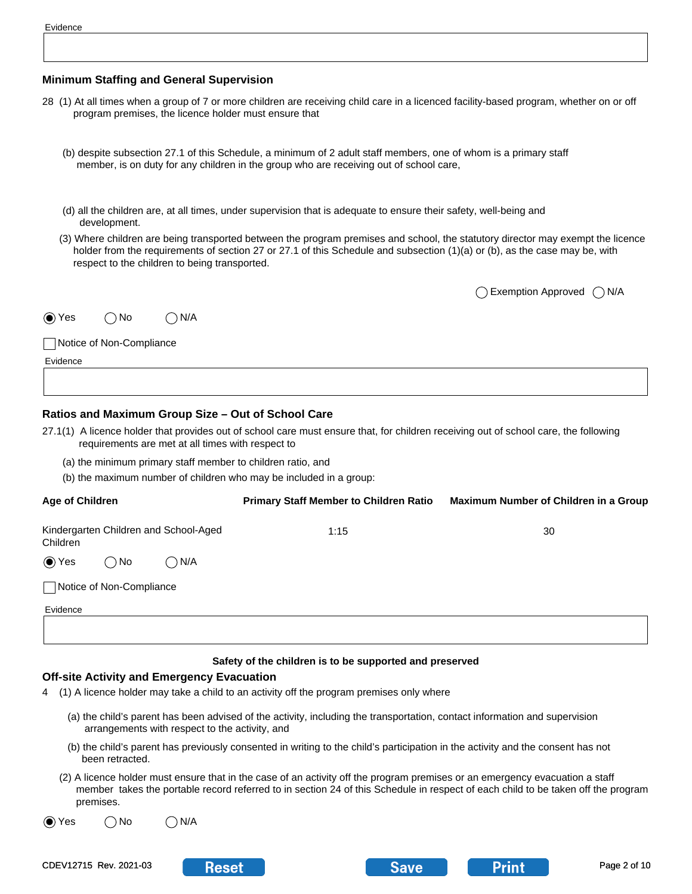# **Minimum Staffing and General Supervision**

| 28 (1) At all times when a group of 7 or more children are receiving child care in a licenced facility-based program, whether on or off<br>program premises, the licence holder must ensure that                                                                                                               |
|----------------------------------------------------------------------------------------------------------------------------------------------------------------------------------------------------------------------------------------------------------------------------------------------------------------|
| (b) despite subsection 27.1 of this Schedule, a minimum of 2 adult staff members, one of whom is a primary staff<br>member, is on duty for any children in the group who are receiving out of school care,                                                                                                     |
| (d) all the children are, at all times, under supervision that is adequate to ensure their safety, well-being and<br>development.                                                                                                                                                                              |
| (3) Where children are being transported between the program premises and school, the statutory director may exempt the licence<br>holder from the requirements of section 27 or 27.1 of this Schedule and subsection (1)(a) or (b), as the case may be, with<br>respect to the children to being transported. |
| Exemption Approved $\bigcap N/A$                                                                                                                                                                                                                                                                               |
| N/A<br>(●) Yes<br>∩ No                                                                                                                                                                                                                                                                                         |
| Notice of Non-Compliance<br>Evidence                                                                                                                                                                                                                                                                           |
|                                                                                                                                                                                                                                                                                                                |
| Ratios and Maximum Group Size - Out of School Care                                                                                                                                                                                                                                                             |
| 27.1(1) A licence holder that provides out of school care must ensure that, for children receiving out of school care, the following<br>requirements are met at all times with respect to                                                                                                                      |

- (a) the minimum primary staff member to children ratio, and
- (b) the maximum number of children who may be included in a group:

| <b>Age of Children</b> |                          |                                       | <b>Primary Staff Member to Children Ratio</b> | Maximum Number of Children in a Group |
|------------------------|--------------------------|---------------------------------------|-----------------------------------------------|---------------------------------------|
| Children               |                          | Kindergarten Children and School-Aged | 1:15                                          | 30                                    |
| $\odot$ Yes            | ( ) No                   | $\hat{N}$ ) N/A                       |                                               |                                       |
|                        | Notice of Non-Compliance |                                       |                                               |                                       |
| Evidence               |                          |                                       |                                               |                                       |

#### **Safety of the children is to be supported and preserved**

# **Off-site Activity and Emergency Evacuation**

- 4 (1) A licence holder may take a child to an activity off the program premises only where
	- (a) the child's parent has been advised of the activity, including the transportation, contact information and supervision arrangements with respect to the activity, and
	- (b) the child's parent has previously consented in writing to the child's participation in the activity and the consent has not been retracted.
	- (2) A licence holder must ensure that in the case of an activity off the program premises or an emergency evacuation a staff member takes the portable record referred to in section 24 of this Schedule in respect of each child to be taken off the program premises.

| $\odot$ Yes | $\bigcirc$ No | $\bigcirc$ N/A |
|-------------|---------------|----------------|
|             |               |                |





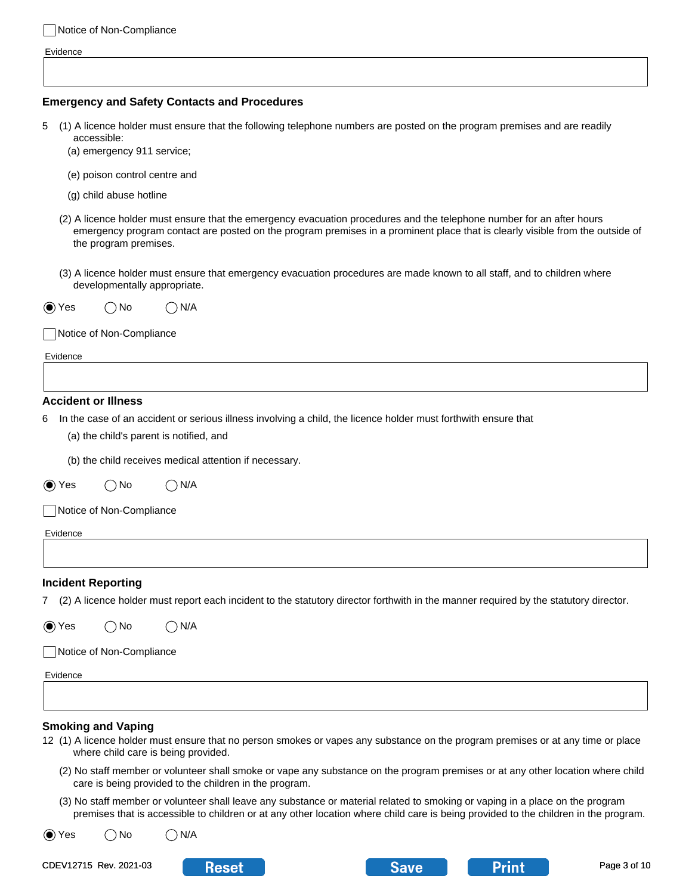|                              | Notice of Non-Compliance                  |                                                                                                                                                                                                                                                                      |
|------------------------------|-------------------------------------------|----------------------------------------------------------------------------------------------------------------------------------------------------------------------------------------------------------------------------------------------------------------------|
| Evidence                     |                                           |                                                                                                                                                                                                                                                                      |
|                              |                                           |                                                                                                                                                                                                                                                                      |
|                              |                                           | <b>Emergency and Safety Contacts and Procedures</b>                                                                                                                                                                                                                  |
| 5                            | accessible:<br>(a) emergency 911 service; | (1) A licence holder must ensure that the following telephone numbers are posted on the program premises and are readily                                                                                                                                             |
|                              | (e) poison control centre and             |                                                                                                                                                                                                                                                                      |
|                              | (g) child abuse hotline                   |                                                                                                                                                                                                                                                                      |
|                              | the program premises.                     | (2) A licence holder must ensure that the emergency evacuation procedures and the telephone number for an after hours<br>emergency program contact are posted on the program premises in a prominent place that is clearly visible from the outside of               |
|                              | developmentally appropriate.              | (3) A licence holder must ensure that emergency evacuation procedures are made known to all staff, and to children where                                                                                                                                             |
| $\odot$ Yes                  | ()No                                      | N/A                                                                                                                                                                                                                                                                  |
|                              | Notice of Non-Compliance                  |                                                                                                                                                                                                                                                                      |
| Evidence                     |                                           |                                                                                                                                                                                                                                                                      |
|                              |                                           |                                                                                                                                                                                                                                                                      |
|                              | <b>Accident or Illness</b>                |                                                                                                                                                                                                                                                                      |
| 6                            |                                           | In the case of an accident or serious illness involving a child, the licence holder must forthwith ensure that<br>(a) the child's parent is notified, and                                                                                                            |
|                              |                                           | (b) the child receives medical attention if necessary.                                                                                                                                                                                                               |
| $\left( \bullet \right)$ Yes | ()No                                      |                                                                                                                                                                                                                                                                      |
|                              | Notice of Non-Compliance                  |                                                                                                                                                                                                                                                                      |
| Evidence                     |                                           |                                                                                                                                                                                                                                                                      |
|                              | <b>Incident Reporting</b>                 |                                                                                                                                                                                                                                                                      |
| 7.                           |                                           | (2) A licence holder must report each incident to the statutory director forthwith in the manner required by the statutory director.                                                                                                                                 |
| $\odot$ Yes                  | ()No                                      | N/A                                                                                                                                                                                                                                                                  |
|                              | Notice of Non-Compliance                  |                                                                                                                                                                                                                                                                      |
| Evidence                     |                                           |                                                                                                                                                                                                                                                                      |
|                              |                                           |                                                                                                                                                                                                                                                                      |
|                              | <b>Smoking and Vaping</b>                 |                                                                                                                                                                                                                                                                      |
|                              |                                           | 12 (1) A licence holder must ensure that no person smokes or vapes any substance on the program premises or at any time or place<br>where child care is being provided.                                                                                              |
|                              |                                           | (2) No staff member or volunteer shall smoke or vape any substance on the program premises or at any other location where child<br>care is being provided to the children in the program.                                                                            |
|                              |                                           | (3) No staff member or volunteer shall leave any substance or material related to smoking or vaping in a place on the program<br>premises that is accessible to children or at any other location where child care is being provided to the children in the program. |
| $\odot$ Yes                  | No                                        | $\bigcap$ N/A                                                                                                                                                                                                                                                        |



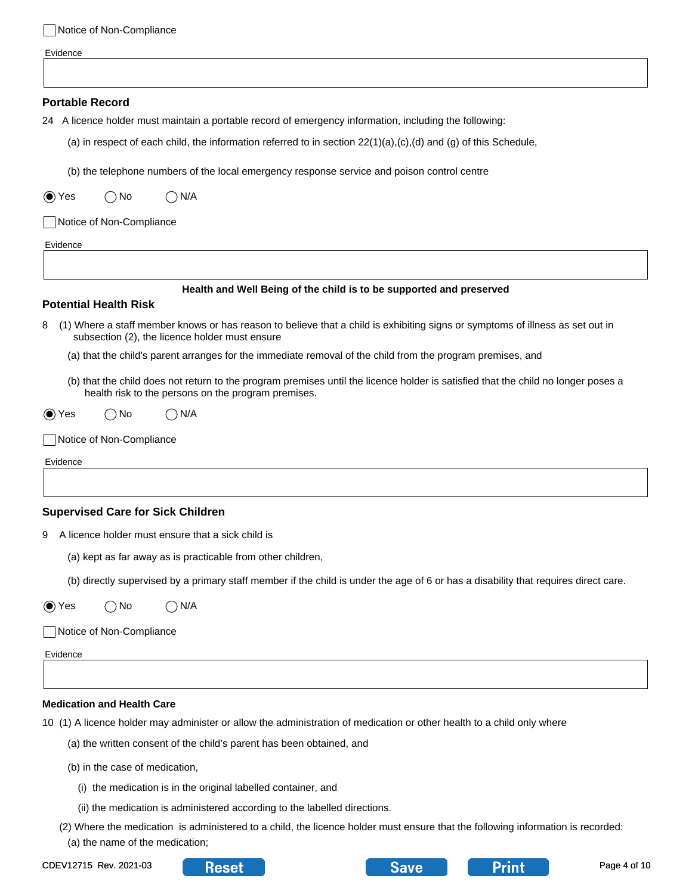Evidence

# **Portable Record**

- 24 A licence holder must maintain a portable record of emergency information, including the following:
	- (a) in respect of each child, the information referred to in section  $22(1)(a),(c),(d)$  and (g) of this Schedule,
	- (b) the telephone numbers of the local emergency response service and poison control centre

 $\bigcirc$  Yes  $\bigcirc$  No  $\bigcirc$  N/A

Notice of Non-Compliance

Evidence

#### **Health and Well Being of the child is to be supported and preserved**

## **Potential Health Risk**

- 8 (1) Where a staff member knows or has reason to believe that a child is exhibiting signs or symptoms of illness as set out in subsection (2), the licence holder must ensure
	- (a) that the child's parent arranges for the immediate removal of the child from the program premises, and
	- (b) that the child does not return to the program premises until the licence holder is satisfied that the child no longer poses a health risk to the persons on the program premises.

| $\odot$ Yes | $\bigcirc$ No | $\bigcirc$ N/A |
|-------------|---------------|----------------|
|             |               |                |

Notice of Non-Compliance

Evidence

### **Supervised Care for Sick Children**

9 A licence holder must ensure that a sick child is

(a) kept as far away as is practicable from other children,

(b) directly supervised by a primary staff member if the child is under the age of 6 or has a disability that requires direct care.

 $\bigcirc$  Yes  $\bigcirc$  No  $\bigcirc$  N/A

Notice of Non-Compliance

Evidence

# **Medication and Health Care**

10 (1) A licence holder may administer or allow the administration of medication or other health to a child only where

- (a) the written consent of the child's parent has been obtained, and
- (b) in the case of medication,
	- (i) the medication is in the original labelled container, and
	- (ii) the medication is administered according to the labelled directions.
- (2) Where the medication is administered to a child, the licence holder must ensure that the following information is recorded: (a) the name of the medication;





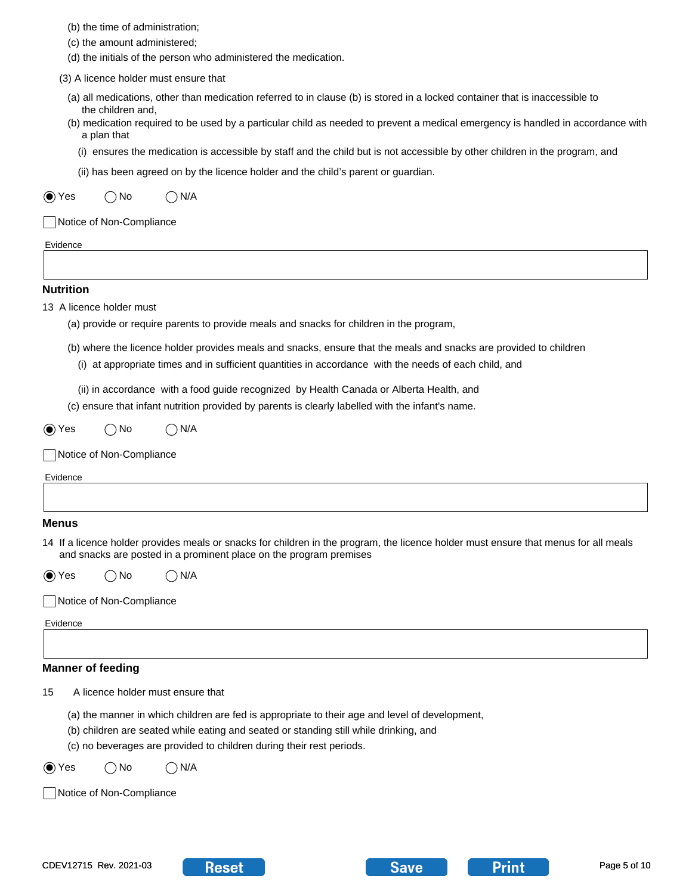- (b) the time of administration;
- (c) the amount administered;
- (d) the initials of the person who administered the medication.
- (3) A licence holder must ensure that
	- (a) all medications, other than medication referred to in clause (b) is stored in a locked container that is inaccessible to the children and,
	- (b) medication required to be used by a particular child as needed to prevent a medical emergency is handled in accordance with a plan that
		- (i) ensures the medication is accessible by staff and the child but is not accessible by other children in the program, and
		- (ii) has been agreed on by the licence holder and the child's parent or guardian.

 $\bigcirc$  Yes  $\bigcirc$  No  $\bigcirc$  N/A

Notice of Non-Compliance

Evidence

### **Nutrition**

13 A licence holder must

(a) provide or require parents to provide meals and snacks for children in the program,

- (b) where the licence holder provides meals and snacks, ensure that the meals and snacks are provided to children
	- (i) at appropriate times and in sufficient quantities in accordance with the needs of each child, and
	- (ii) in accordance with a food guide recognized by Health Canada or Alberta Health, and
- (c) ensure that infant nutrition provided by parents is clearly labelled with the infant's name.

 $\bigcirc$  Yes  $\bigcirc$  No  $\bigcirc$  N/A

Notice of Non-Compliance

#### Evidence

#### **Menus**

14 If a licence holder provides meals or snacks for children in the program, the licence holder must ensure that menus for all meals and snacks are posted in a prominent place on the program premises

 $\bigcirc$  Yes  $\bigcirc$  No  $\bigcirc$  N/A

Notice of Non-Compliance

#### Evidence

### **Manner of feeding**

15 A licence holder must ensure that

- (a) the manner in which children are fed is appropriate to their age and level of development,
- (b) children are seated while eating and seated or standing still while drinking, and
- (c) no beverages are provided to children during their rest periods.

 $\bigcirc$  Yes  $\bigcirc$  No  $\bigcirc$  N/A

Notice of Non-Compliance



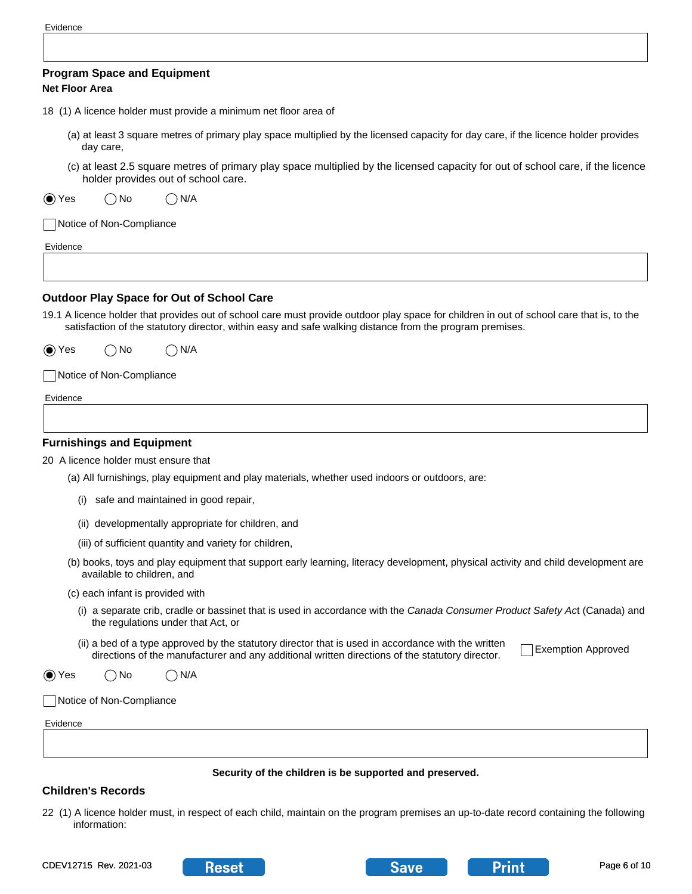| Evidence |
|----------|
|----------|

# **Program Space and Equipment**

# **Net Floor Area**

- 18 (1) A licence holder must provide a minimum net floor area of
	- (a) at least 3 square metres of primary play space multiplied by the licensed capacity for day care, if the licence holder provides day care,
	- (c) at least 2.5 square metres of primary play space multiplied by the licensed capacity for out of school care, if the licence holder provides out of school care.

 $\bigcirc$  Yes  $\bigcirc$  No  $\bigcirc$  N/A

| Notice of Non-Compliance

Evidence

# **Outdoor Play Space for Out of School Care**

19.1 A licence holder that provides out of school care must provide outdoor play space for children in out of school care that is, to the satisfaction of the statutory director, within easy and safe walking distance from the program premises.

 $\bigcirc$  Yes  $\bigcirc$  No  $\bigcirc$  N/A

Notice of Non-Compliance

Evidence

# **Furnishings and Equipment**

20 A licence holder must ensure that

- (a) All furnishings, play equipment and play materials, whether used indoors or outdoors, are:
	- (i) safe and maintained in good repair,
	- (ii) developmentally appropriate for children, and
	- (iii) of sufficient quantity and variety for children,
- (b) books, toys and play equipment that support early learning, literacy development, physical activity and child development are available to children, and
- (c) each infant is provided with
	- (i) a separate crib, cradle or bassinet that is used in accordance with the *Canada Consumer Product Safety Ac*t (Canada) and the regulations under that Act, or
	- (ii) a bed of a type approved by the statutory director that is used in accordance with the written directions of the manufacturer and any additional written directions of the statutory director.

Exemption Approved

 $\bigcirc$  Yes  $\bigcirc$  No  $\bigcirc$  N/A

Notice of Non-Compliance

Evidence

## **Security of the children is be supported and preserved.**

# **Children's Records**

22 (1) A licence holder must, in respect of each child, maintain on the program premises an up-to-date record containing the following information:





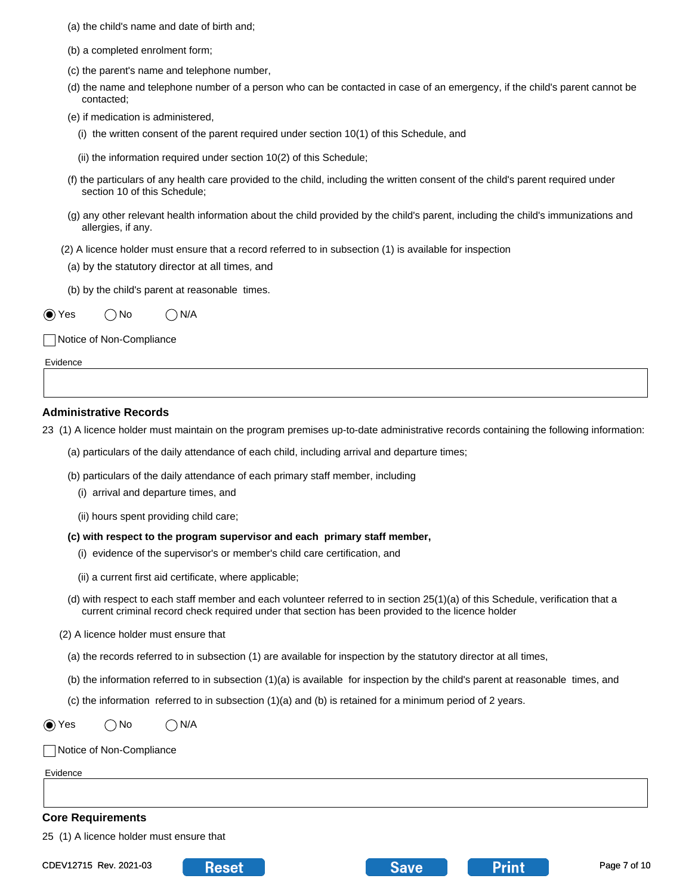- (a) the child's name and date of birth and;
- (b) a completed enrolment form;
- (c) the parent's name and telephone number,
- (d) the name and telephone number of a person who can be contacted in case of an emergency, if the child's parent cannot be contacted;
- (e) if medication is administered,
	- (i) the written consent of the parent required under section 10(1) of this Schedule, and
	- (ii) the information required under section 10(2) of this Schedule;
- (f) the particulars of any health care provided to the child, including the written consent of the child's parent required under section 10 of this Schedule;
- (g) any other relevant health information about the child provided by the child's parent, including the child's immunizations and allergies, if any.
- (2) A licence holder must ensure that a record referred to in subsection (1) is available for inspection
	- (a) by the statutory director at all times, and
	- (b) by the child's parent at reasonable times.

 $\bigcirc$  Yes  $\bigcirc$  No  $\bigcirc$  N/A

Notice of Non-Compliance

#### Evidence

### **Administrative Records**

- 23 (1) A licence holder must maintain on the program premises up-to-date administrative records containing the following information:
	- (a) particulars of the daily attendance of each child, including arrival and departure times;
	- (b) particulars of the daily attendance of each primary staff member, including
		- (i) arrival and departure times, and
		- (ii) hours spent providing child care;

#### **(c) with respect to the program supervisor and each primary staff member,**

- (i) evidence of the supervisor's or member's child care certification, and
- (ii) a current first aid certificate, where applicable;
- (d) with respect to each staff member and each volunteer referred to in section 25(1)(a) of this Schedule, verification that a current criminal record check required under that section has been provided to the licence holder
- (2) A licence holder must ensure that
	- (a) the records referred to in subsection (1) are available for inspection by the statutory director at all times,
	- (b) the information referred to in subsection (1)(a) is available for inspection by the child's parent at reasonable times, and
	- (c) the information referred to in subsection (1)(a) and (b) is retained for a minimum period of 2 years.

 $\bigcirc$  Yes  $\bigcirc$  No  $\bigcirc$  N/A

Notice of Non-Compliance

Evidence

# **Core Requirements**

25 (1) A licence holder must ensure that





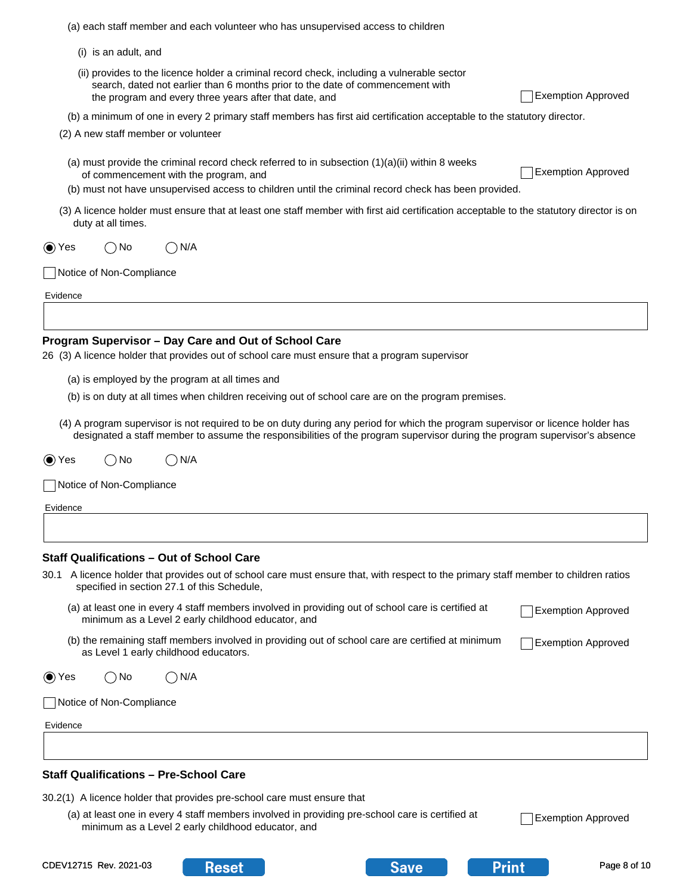|  |  |  |  | (a) each staff member and each volunteer who has unsupervised access to children |
|--|--|--|--|----------------------------------------------------------------------------------|
|  |  |  |  |                                                                                  |
|  |  |  |  |                                                                                  |
|  |  |  |  |                                                                                  |

|  |  | (i) is an adult, and |  |
|--|--|----------------------|--|
|--|--|----------------------|--|

(ii) provides to the licence holder a criminal record check, including a vulnerable sector search, dated not earlier than 6 months prior to the date of commencement with the program and every three years after that date, and Exemption Approved

- (b) a minimum of one in every 2 primary staff members has first aid certification acceptable to the statutory director.
- (2) A new staff member or volunteer
	- (a) must provide the criminal record check referred to in subsection  $(1)(a)(ii)$  within 8 weeks of commencement with the program, and Exemption Approved
	- (b) must not have unsupervised access to children until the criminal record check has been provided.
- (3) A licence holder must ensure that at least one staff member with first aid certification acceptable to the statutory director is on duty at all times.

 $\bigcirc$  Yes  $\bigcirc$  No  $\bigcirc$  N/A

Notice of Non-Compliance

Evidence

#### **Program Supervisor – Day Care and Out of School Care**

26 (3) A licence holder that provides out of school care must ensure that a program supervisor

- (a) is employed by the program at all times and
- (b) is on duty at all times when children receiving out of school care are on the program premises.
- (4) A program supervisor is not required to be on duty during any period for which the program supervisor or licence holder has designated a staff member to assume the responsibilities of the program supervisor during the program supervisor's absence

 $\bigcirc$  Yes  $\bigcirc$  No  $\bigcirc$  N/A

Notice of Non-Compliance

Evidence

#### **Staff Qualifications – Out of School Care**

- 30.1 A licence holder that provides out of school care must ensure that, with respect to the primary staff member to children ratios specified in section 27.1 of this Schedule,
	- (a) at least one in every 4 staff members involved in providing out of school care is certified at Exemption Approved<br>minimum as a Level 2 early childhood educator, and
	- (b) the remaining staff members involved in providing out of school care are certified at minimum as Level 1 early childhood educators. | Exemption Approved

 $\bigcirc$  Yes  $\bigcirc$  No  $\bigcirc$  N/A

Notice of Non-Compliance

Evidence

# **Staff Qualifications – Pre-School Care**

30.2(1) A licence holder that provides pre-school care must ensure that

(a) at least one in every 4 staff members involved in providing pre-school care is certified at <br>minimum as a Level 2 early childhood educator, and



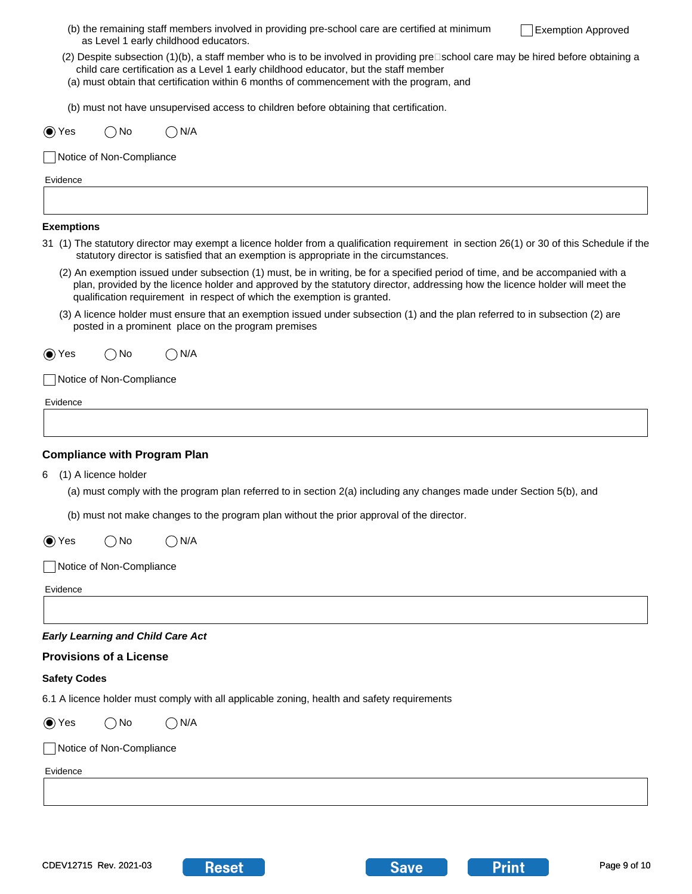| (b) the remaining staff members involved in providing pre-school care are certified at minimum |  |
|------------------------------------------------------------------------------------------------|--|
| as Level 1 early childhood educators.                                                          |  |

- (2) Despite subsection (1)(b), a staff member who is to be involved in providing pre $\square$ school care may be hired before obtaining a child care certification as a Level 1 early childhood educator, but the staff member
- (a) must obtain that certification within 6 months of commencement with the program, and
- (b) must not have unsupervised access to children before obtaining that certification.

 $\bigcirc$  Yes  $\bigcirc$  No  $\bigcirc$  N/A

Notice of Non-Compliance

Evidence

#### **Exemptions**

- 31 (1) The statutory director may exempt a licence holder from a qualification requirement in section 26(1) or 30 of this Schedule if the statutory director is satisfied that an exemption is appropriate in the circumstances.
	- (2) An exemption issued under subsection (1) must, be in writing, be for a specified period of time, and be accompanied with a plan, provided by the licence holder and approved by the statutory director, addressing how the licence holder will meet the qualification requirement in respect of which the exemption is granted.
	- (3) A licence holder must ensure that an exemption issued under subsection (1) and the plan referred to in subsection (2) are posted in a prominent place on the program premises

 $\bigcirc$  Yes  $\bigcirc$  No  $\bigcirc$  N/A

Notice of Non-Compliance

Evidence

# **Compliance with Program Plan**

6 (1) A licence holder

(a) must comply with the program plan referred to in section 2(a) including any changes made under Section 5(b), and

(b) must not make changes to the program plan without the prior approval of the director.

 $\bigcirc$  Yes  $\bigcirc$  No  $\bigcirc$  N/A

|  |  | Notice of Non-Compliance |
|--|--|--------------------------|
|--|--|--------------------------|

Evidence

### *Early Learning and Child Care Act*

#### **Provisions of a License**

#### **Safety Codes**

6.1 A licence holder must comply with all applicable zoning, health and safety requirements

 $\bigcirc$  Yes  $\bigcirc$  No  $\bigcirc$  N/A

|  | Notice of Non-Compliance |  |  |
|--|--------------------------|--|--|
|  |                          |  |  |

Evidence

Г